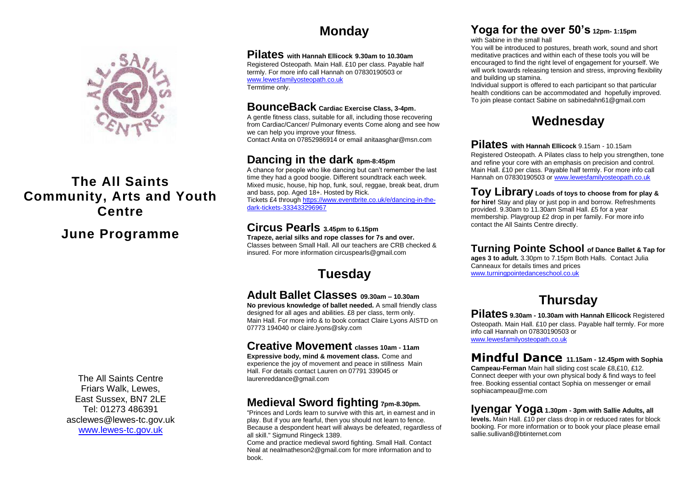

## **The All Saints Community, Arts and Youth Centre**

## **June Programme**

The All Saints Centre Friars Walk, Lewes, East Sussex, BN7 2LE Tel: 01273 486391 asclewes@lewes-tc.gov.uk [www.lewes-tc.gov.uk](http://www.lewes-tc.gov.uk/)

## **Monday**

#### **Pilates with Hannah Ellicock 9.30am to 10.30am**

Registered Osteopath. Main Hall. £10 per class. Payable half termly. For more info call Hannah on 07830190503 or [www.lewesfamilyosteopath.co.uk](http://www.lewesfamilyosteopath.co.uk/) Termtime only.

#### **BounceBack Cardiac Exercise Class, 3-4pm**.

A gentle fitness class, suitable for all, including those recovering from Cardiac/Cancer/ Pulmonary events Come along and see how we can help you improve your fitness. Contact Anita on 07852986914 or email anitaasghar@msn.com

### **Dancing in the dark 8pm-8:45pm**

A chance for people who like dancing but can't remember the last time they had a good boogie. Different soundtrack each week. Mixed music, house, hip hop, funk, soul, reggae, break beat, drum and bass, pop. Aged 18+. Hosted by Rick. Tickets £4 through [https://www.eventbrite.co.uk/e/dancing-in-the](https://www.eventbrite.co.uk/e/dancing-in-the-dark-tickets-333433296967)[dark-tickets-333433296967](https://www.eventbrite.co.uk/e/dancing-in-the-dark-tickets-333433296967)

### **Circus Pearls 3.45pm to 6.15pm**

**Trapeze, aerial silks and rope classes for 7s and over.**  Classes between Small Hall. All our teachers are CRB checked & insured. For more information [circuspearls@gmail.com](mailto:circuspearls@gmail.com)

## **Tuesday**

### **Adult Ballet Classes 09.30am – 10.30am**

**No previous knowledge of ballet needed.** A small friendly class designed for all ages and abilities. £8 per class, term only. Main Hall. For more info & to book contact Claire Lyons AISTD on 07773 194040 o[r claire.lyons@sky.com](mailto:claire.lyons@sky.com)

### **Creative Movement classes 10am - 11am**

**Expressive body, mind & movement class.** Come and experience the joy of movement and peace in stillness Main Hall. For details contact Lauren on 07791 339045 or [laurenreddance@gmail.com](mailto:laurenreddance@gmail.com)

## **Medieval Sword fighting 7pm-8.30pm.**

"Princes and Lords learn to survive with this art, in earnest and in play. But if you are fearful, then you should not learn to fence. Because a despondent heart will always be defeated, regardless of all skill." Sigmund Ringeck 1389.

Come and practice medieval sword fighting. Small Hall. Contact Neal a[t nealmatheson2@gmail.com](mailto:nealmatheson2@gmail.com) for more information and to book.

## **Yoga for the over 50's 12pm- 1:15pm**

with Sabine in the small hall

You will be introduced to postures, breath work, sound and short meditative practices and within each of these tools you will be encouraged to find the right level of engagement for yourself. We will work towards releasing tension and stress, improving flexibility and building up stamina.

Individual support is offered to each participant so that particular health conditions can be accommodated and hopefully improved. To join please contact Sabine on [sabinedahn61@gmail.com](mailto:sabinedahn61@gmail.com)

## **Wednesday**

**Pilates with Hannah Ellicock** 9.15am - 10.15am Registered Osteopath. A Pilates class to help you strengthen, tone and refine your core with an emphasis on precision and control. Main Hall. £10 per class. Payable half termly. For more info call Hannah on 07830190503 o[r www.lewesfamilyosteopath.co.uk](http://www.lewesfamilyosteopath.co.uk/)

**Toy Library Loads of toys to choose from for play & for hire!** Stay and play or just pop in and borrow. Refreshments provided. 9.30am to 11.30am Small Hall. £5 for a year membership. Playgroup £2 drop in per family. For more info contact the All Saints Centre directly.

### **Turning Pointe School of Dance Ballet & Tap for**

**ages 3 to adult.** 3.30pm to 7.15pm Both Halls. Contact Julia Canneaux for details times and prices [www.turningpointedanceschool.co.uk](http://www.turningpointedanceschool.co.uk/)

## **Thursday**

**Pilates 9.30am - 10.30am with Hannah Ellicock** Registered Osteopath. Main Hall. £10 per class. Payable half termly. For more info call Hannah on 07830190503 or [www.lewesfamilyosteopath.co.uk](http://www.lewesfamilyosteopath.co.uk/)

### **Mindful Dance 11.15am - 12.45pm with Sophia**

**Campeau-Ferman** Main hall sliding cost scale £8,£10, £12. Connect deeper with your own physical body & find ways to feel free. Booking essential contact Sophia on messenger or email [sophiacampeau@me.com](mailto:sophiacampeau@me.com)

#### **Iyengar Yoga 1.30pm - 3pm**.**with Sallie Adults, all**

**levels.** Main Hall. £10 per class drop in or reduced rates for block booking. For more information or to book your place please email [sallie.sullivan8@btinternet.com](mailto:sallie.sullivan8@btinternet.com)